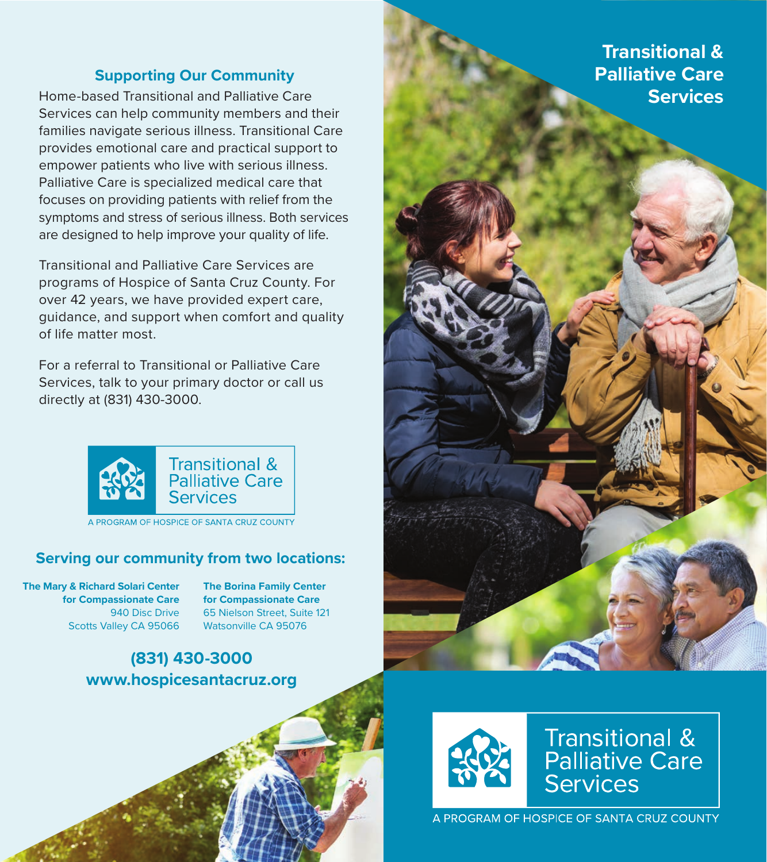# **Supporting Our Community**

Home-based Transitional and Palliative Care Services can help community members and their families navigate serious illness. Transitional Care provides emotional care and practical support to empower patients who live with serious illness. Palliative Care is specialized medical care that focuses on providing patients with relief from the symptoms and stress of serious illness. Both services are designed to help improve your quality of life.

Transitional and Palliative Care Services are programs of Hospice of Santa Cruz County. For over 42 years, we have provided expert care, guidance, and support when comfort and quality of life matter most.

For a referral to Transitional or Palliative Care Services, talk to your primary doctor or call us directly at (831) 430-3000.



A PROGRAM OF HOSPICE OF SANTA CRUZ COUNTY

### **Serving our community from two locations:**

**The Mary & Richard Solari Center for Compassionate Care** 940 Disc Drive Scotts Valley CA 95066

**The Borina Family Center for Compassionate Care** 65 Nielson Street, Suite 121 Watsonville CA 95076

# **(831) 430-3000 www.hospicesantacruz.org**



**Transitional & Palliative Care** Services

A PROGRAM OF HOSPICE OF SANTA CRUZ COUNTY

**Transitional & Palliative Care Services**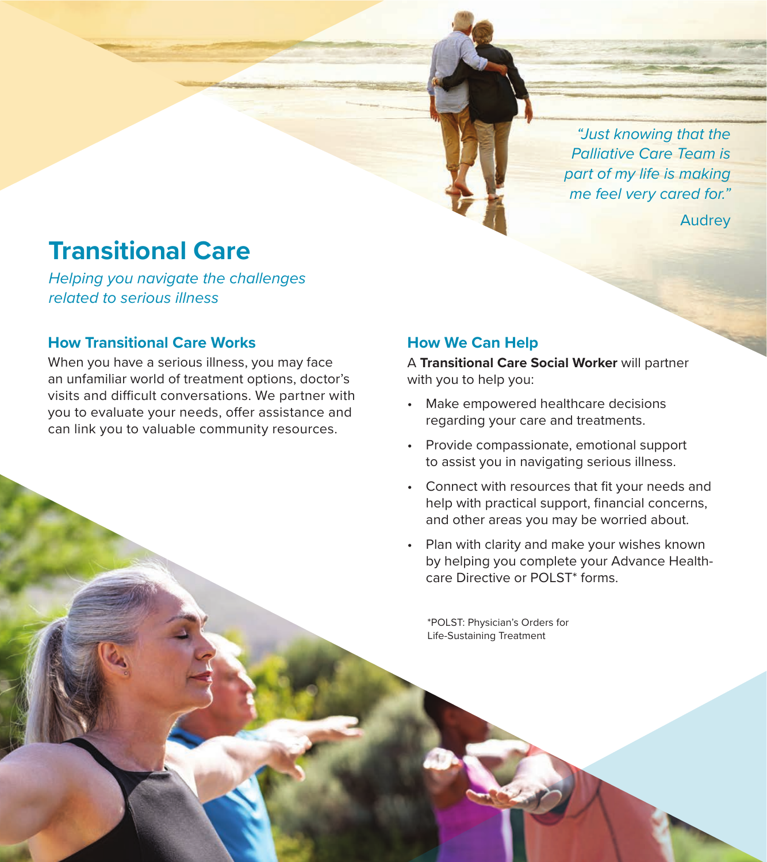*"Just knowing that the Palliative Care Team is part of my life is making me feel very cared for."*

Audrey

# **Transitional Care**

*Helping you navigate the challenges related to serious illness*

## **How Transitional Care Works**

When you have a serious illness, you may face an unfamiliar world of treatment options, doctor's visits and difficult conversations. We partner with you to evaluate your needs, offer assistance and can link you to valuable community resources.

# **How We Can Help**

A **Transitional Care Social Worker** will partner with you to help you:

- Make empowered healthcare decisions regarding your care and treatments.
- Provide compassionate, emotional support to assist you in navigating serious illness.
- Connect with resources that fit your needs and help with practical support, financial concerns, and other areas you may be worried about.
- Plan with clarity and make your wishes known by helping you complete your Advance Healthcare Directive or POLST\* forms.

\*POLST: Physician's Orders for Life-Sustaining Treatment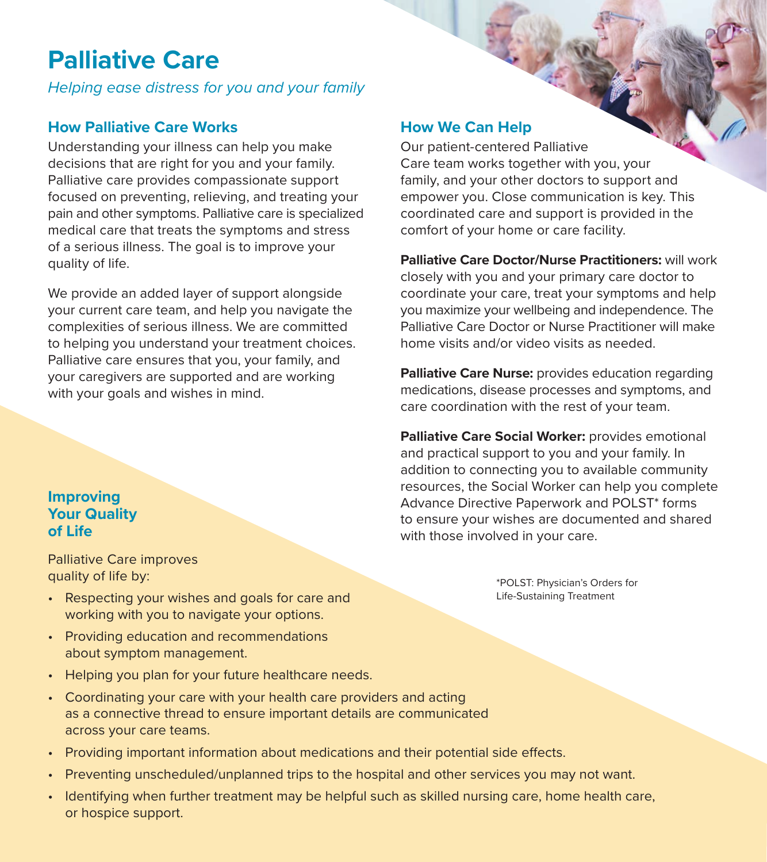# **Palliative Care**

*Helping ease distress for you and your family*

# **How Palliative Care Works**

Understanding your illness can help you make decisions that are right for you and your family. Palliative care provides compassionate support focused on preventing, relieving, and treating your pain and other symptoms. Palliative care is specialized medical care that treats the symptoms and stress of a serious illness. The goal is to improve your quality of life.

We provide an added layer of support alongside your current care team, and help you navigate the complexities of serious illness. We are committed to helping you understand your treatment choices. Palliative care ensures that you, your family, and your caregivers are supported and are working with your goals and wishes in mind.

# **How We Can Help**

Our patient-centered Palliative Care team works together with you, your family, and your other doctors to support and empower you. Close communication is key. This coordinated care and support is provided in the comfort of your home or care facility.

**Palliative Care Doctor/Nurse Practitioners:** will work closely with you and your primary care doctor to coordinate your care, treat your symptoms and help you maximize your wellbeing and independence. The Palliative Care Doctor or Nurse Practitioner will make home visits and/or video visits as needed.

**Palliative Care Nurse:** provides education regarding medications, disease processes and symptoms, and care coordination with the rest of your team.

**Palliative Care Social Worker:** provides emotional and practical support to you and your family. In addition to connecting you to available community resources, the Social Worker can help you complete Advance Directive Paperwork and POLST\* forms to ensure your wishes are documented and shared with those involved in your care.

> \*POLST: Physician's Orders for Life-Sustaining Treatment

# **Improving Your Quality of Life**

Palliative Care improves quality of life by:

- Respecting your wishes and goals for care and working with you to navigate your options.
- Providing education and recommendations about symptom management.
- Helping you plan for your future healthcare needs.
- Coordinating your care with your health care providers and acting as a connective thread to ensure important details are communicated across your care teams.
- Providing important information about medications and their potential side effects.
- Preventing unscheduled/unplanned trips to the hospital and other services you may not want.
- Identifying when further treatment may be helpful such as skilled nursing care, home health care, or hospice support.